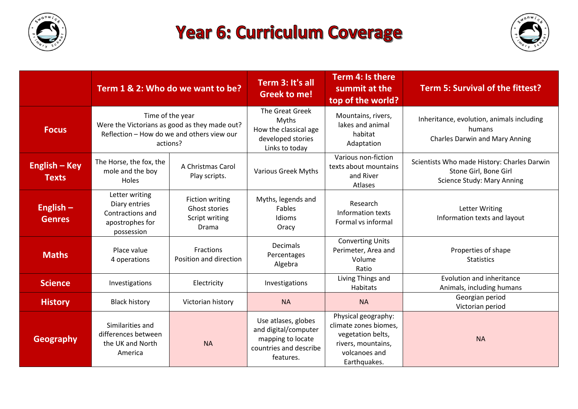

## **Year 6: Curriculum Coverage**



|                                      | Term 1 & 2: Who do we want to be?                                                                                           |                                                                    | Term 3: It's all<br><b>Greek to me!</b>                                                                 | Term 4: Is there<br>summit at the<br>top of the world?                                                                   | <b>Term 5: Survival of the fittest?</b>                                                                   |
|--------------------------------------|-----------------------------------------------------------------------------------------------------------------------------|--------------------------------------------------------------------|---------------------------------------------------------------------------------------------------------|--------------------------------------------------------------------------------------------------------------------------|-----------------------------------------------------------------------------------------------------------|
| <b>Focus</b>                         | Time of the year<br>Were the Victorians as good as they made out?<br>Reflection - How do we and others view our<br>actions? |                                                                    | <b>The Great Greek</b><br>Myths<br>How the classical age<br>developed stories<br>Links to today         | Mountains, rivers,<br>lakes and animal<br>habitat<br>Adaptation                                                          | Inheritance, evolution, animals including<br>humans<br><b>Charles Darwin and Mary Anning</b>              |
| <b>English – Key</b><br><b>Texts</b> | The Horse, the fox, the<br>mole and the boy<br>Holes                                                                        | A Christmas Carol<br>Play scripts.                                 | <b>Various Greek Myths</b>                                                                              | Various non-fiction<br>texts about mountains<br>and River<br>Atlases                                                     | Scientists Who made History: Charles Darwin<br>Stone Girl, Bone Girl<br><b>Science Study: Mary Anning</b> |
| English $-$<br><b>Genres</b>         | Letter writing<br>Diary entries<br>Contractions and<br>apostrophes for<br>possession                                        | <b>Fiction writing</b><br>Ghost stories<br>Script writing<br>Drama | Myths, legends and<br>Fables<br>Idioms<br>Oracy                                                         | Research<br>Information texts<br>Formal vs informal                                                                      | <b>Letter Writing</b><br>Information texts and layout                                                     |
| <b>Maths</b>                         | Place value<br>4 operations                                                                                                 | Fractions<br>Position and direction                                | <b>Decimals</b><br>Percentages<br>Algebra                                                               | <b>Converting Units</b><br>Perimeter, Area and<br>Volume<br>Ratio                                                        | Properties of shape<br><b>Statistics</b>                                                                  |
| <b>Science</b>                       | Investigations                                                                                                              | Electricity                                                        | Investigations                                                                                          | Living Things and<br>Habitats                                                                                            | Evolution and inheritance<br>Animals, including humans                                                    |
| <b>History</b>                       | <b>Black history</b>                                                                                                        | Victorian history                                                  | <b>NA</b>                                                                                               | <b>NA</b>                                                                                                                | Georgian period<br>Victorian period                                                                       |
| <b>Geography</b>                     | Similarities and<br>differences between<br>the UK and North<br>America                                                      | <b>NA</b>                                                          | Use atlases, globes<br>and digital/computer<br>mapping to locate<br>countries and describe<br>features. | Physical geography:<br>climate zones biomes,<br>vegetation belts,<br>rivers, mountains,<br>volcanoes and<br>Earthquakes. | <b>NA</b>                                                                                                 |